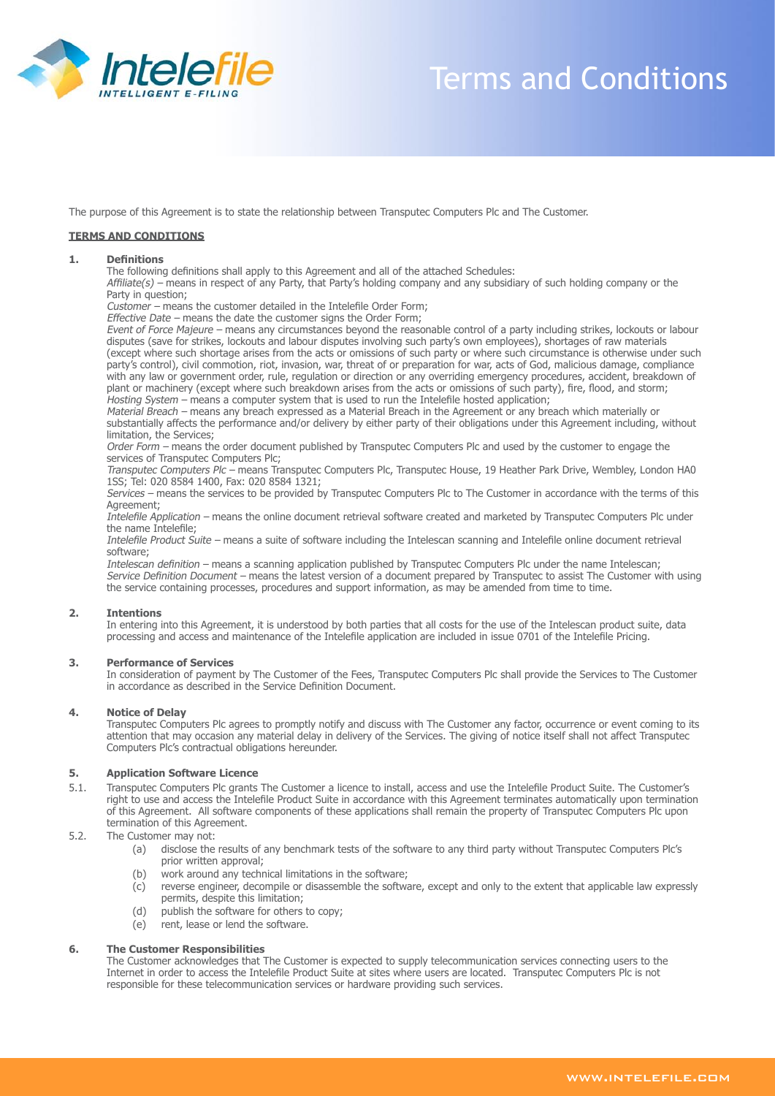

# Terms and Conditions

The purpose of this Agreement is to state the relationship between Transputec Computers Plc and The Customer.

# **TERMS AND CONDITIONS**

#### **1. Definitions**

The following definitions shall apply to this Agreement and all of the attached Schedules:

Affiliate(s) – means in respect of any Party, that Party's holding company and any subsidiary of such holding company or the Party in question;

Customer – means the customer detailed in the Intelefile Order Form;

Effective Date – means the date the customer signs the Order Form;

Event of Force Majeure – means any circumstances beyond the reasonable control of a party including strikes, lockouts or labour disputes (save for strikes, lockouts and labour disputes involving such party's own employees), shortages of raw materials (except where such shortage arises from the acts or omissions of such party or where such circumstance is otherwise under such party's control), civil commotion, riot, invasion, war, threat of or preparation for war, acts of God, malicious damage, compliance with any law or government order, rule, regulation or direction or any overriding emergency procedures, accident, breakdown of plant or machinery (except where such breakdown arises from the acts or omissions of such party), fire, flood, and storm; Hosting System – means a computer system that is used to run the Intelefile hosted application;

Material Breach – means any breach expressed as a Material Breach in the Agreement or any breach which materially or substantially affects the performance and/or delivery by either party of their obligations under this Agreement including, without limitation, the Services;

Order Form – means the order document published by Transputec Computers Plc and used by the customer to engage the services of Transputec Computers Plc;

Transputec Computers Plc – means Transputec Computers Plc, Transputec House, 19 Heather Park Drive, Wembley, London HA0 1SS; Tel: 020 8584 1400, Fax: 020 8584 1321;

Services – means the services to be provided by Transputec Computers Plc to The Customer in accordance with the terms of this Agreement;

Intelefile Application – means the online document retrieval software created and marketed by Transputec Computers Plc under the name Intelefile;

Intelefile Product Suite – means a suite of software including the Intelescan scanning and Intelefile online document retrieval software;

Intelescan definition – means a scanning application published by Transputec Computers Plc under the name Intelescan; Service Definition Document – means the latest version of a document prepared by Transputec to assist The Customer with using the service containing processes, procedures and support information, as may be amended from time to time.

#### **2. Intentions**

In entering into this Agreement, it is understood by both parties that all costs for the use of the Intelescan product suite, data processing and access and maintenance of the Intelefile application are included in issue 0701 of the Intelefile Pricing.

#### **3. Performance of Services**

In consideration of payment by The Customer of the Fees, Transputec Computers Plc shall provide the Services to The Customer in accordance as described in the Service Definition Document.

#### **4. Notice of Delay**

Transputec Computers Plc agrees to promptly notify and discuss with The Customer any factor, occurrence or event coming to its attention that may occasion any material delay in delivery of the Services. The giving of notice itself shall not affect Transputec Computers Plc's contractual obligations hereunder.

#### **5. Application Software Licence**

- 5.1. Transputec Computers Plc grants The Customer a licence to install, access and use the Intelefile Product Suite. The Customer's right to use and access the Intelefile Product Suite in accordance with this Agreement terminates automatically upon termination of this Agreement. All software components of these applications shall remain the property of Transputec Computers Plc upon termination of this Agreement.
- 5.2. The Customer may not:
	- (a) disclose the results of any benchmark tests of the software to any third party without Transputec Computers Plc's prior written approval;
	- (b) work around any technical limitations in the software;
	- (c) reverse engineer, decompile or disassemble the software, except and only to the extent that applicable law expressly permits, despite this limitation;
	- (d) publish the software for others to copy;
	- (e) rent, lease or lend the software.

#### **6. The Customer Responsibilities**

The Customer acknowledges that The Customer is expected to supply telecommunication services connecting users to the Internet in order to access the Intelefile Product Suite at sites where users are located. Transputec Computers Plc is not responsible for these telecommunication services or hardware providing such services.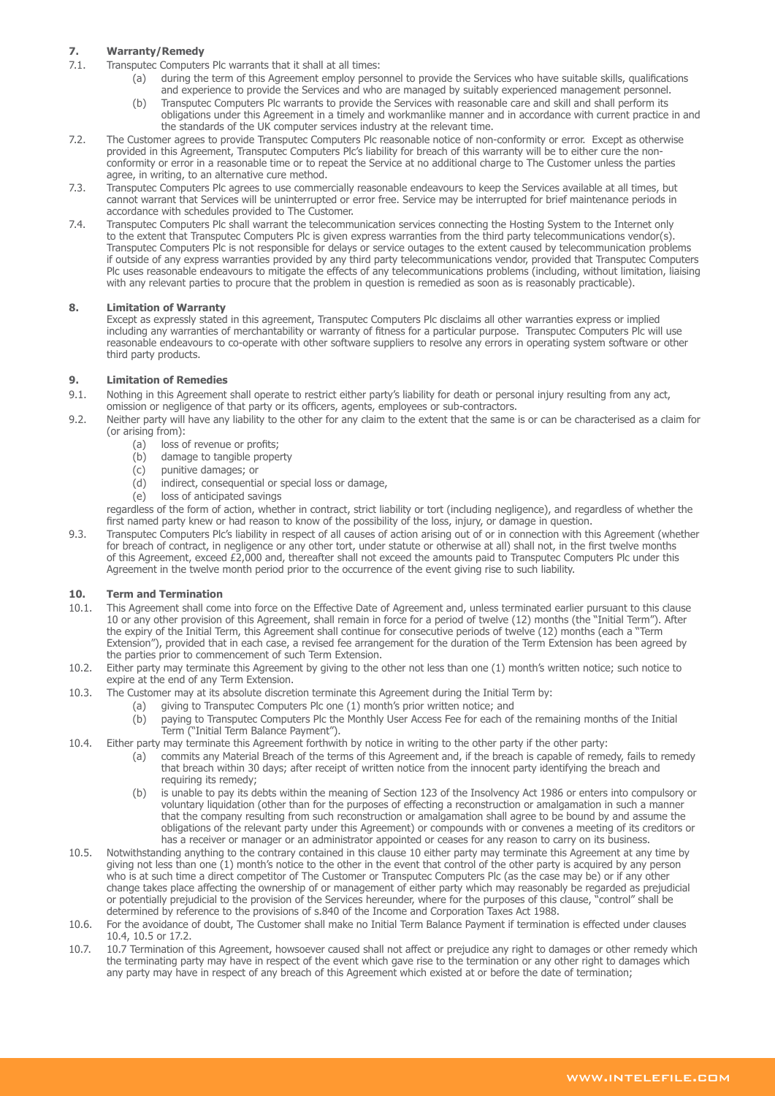# **7. Warranty/Remedy**

- 7.1. Transputec Computers Plc warrants that it shall at all times:
	- (a) during the term of this Agreement employ personnel to provide the Services who have suitable skills, qualifications and experience to provide the Services and who are managed by suitably experienced management personnel.
	- (b) Transputec Computers Plc warrants to provide the Services with reasonable care and skill and shall perform its obligations under this Agreement in a timely and workmanlike manner and in accordance with current practice in and the standards of the UK computer services industry at the relevant time.
- 7.2. The Customer agrees to provide Transputec Computers Plc reasonable notice of non-conformity or error. Except as otherwise provided in this Agreement, Transputec Computers Plc's liability for breach of this warranty will be to either cure the nonconformity or error in a reasonable time or to repeat the Service at no additional charge to The Customer unless the parties agree, in writing, to an alternative cure method.
- 7.3. Transputec Computers Plc agrees to use commercially reasonable endeavours to keep the Services available at all times, but cannot warrant that Services will be uninterrupted or error free. Service may be interrupted for brief maintenance periods in accordance with schedules provided to The Customer.
- 7.4. Transputec Computers Plc shall warrant the telecommunication services connecting the Hosting System to the Internet only to the extent that Transputec Computers Plc is given express warranties from the third party telecommunications vendor(s). Transputec Computers Plc is not responsible for delays or service outages to the extent caused by telecommunication problems if outside of any express warranties provided by any third party telecommunications vendor, provided that Transputec Computers Plc uses reasonable endeavours to mitigate the effects of any telecommunications problems (including, without limitation, liaising with any relevant parties to procure that the problem in question is remedied as soon as is reasonably practicable).

# **8. Limitation of Warranty**

Except as expressly stated in this agreement, Transputec Computers Plc disclaims all other warranties express or implied including any warranties of merchantability or warranty of fitness for a particular purpose. Transputec Computers Plc will use reasonable endeavours to co-operate with other software suppliers to resolve any errors in operating system software or other third party products.

# **9. Limitation of Remedies**

- 9.1. Nothing in this Agreement shall operate to restrict either party's liability for death or personal injury resulting from any act, omission or negligence of that party or its officers, agents, employees or sub-contractors.
- 9.2. Neither party will have any liability to the other for any claim to the extent that the same is or can be characterised as a claim for (or arising from):
	- (a) loss of revenue or profits;
	- (b) damage to tangible property
	- (c) punitive damages; or
	- (d) indirect, consequential or special loss or damage,
	- (e) loss of anticipated savings

regardless of the form of action, whether in contract, strict liability or tort (including negligence), and regardless of whether the first named party knew or had reason to know of the possibility of the loss, injury, or damage in question.

9.3. Transputec Computers Plc's liability in respect of all causes of action arising out of or in connection with this Agreement (whether for breach of contract, in negligence or any other tort, under statute or otherwise at all) shall not, in the first twelve months of this Agreement, exceed £2,000 and, thereafter shall not exceed the amounts paid to Transputec Computers Plc under this Agreement in the twelve month period prior to the occurrence of the event giving rise to such liability.

# **10. Term and Termination**

- 10.1. This Agreement shall come into force on the Effective Date of Agreement and, unless terminated earlier pursuant to this clause 10 or any other provision of this Agreement, shall remain in force for a period of twelve (12) months (the "Initial Term"). After the expiry of the Initial Term, this Agreement shall continue for consecutive periods of twelve (12) months (each a "Term Extension"), provided that in each case, a revised fee arrangement for the duration of the Term Extension has been agreed by the parties prior to commencement of such Term Extension.
- 10.2. Either party may terminate this Agreement by giving to the other not less than one (1) month's written notice; such notice to expire at the end of any Term Extension.
- 10.3. The Customer may at its absolute discretion terminate this Agreement during the Initial Term by:
	- (a) giving to Transputec Computers Plc one (1) month's prior written notice; and
		- (b) paying to Transputec Computers Plc the Monthly User Access Fee for each of the remaining months of the Initial Term ("Initial Term Balance Payment").
- 10.4. Either party may terminate this Agreement forthwith by notice in writing to the other party if the other party:
	- (a) commits any Material Breach of the terms of this Agreement and, if the breach is capable of remedy, fails to remedy that breach within 30 days; after receipt of written notice from the innocent party identifying the breach and requiring its remedy;
	- (b) is unable to pay its debts within the meaning of Section 123 of the Insolvency Act 1986 or enters into compulsory or voluntary liquidation (other than for the purposes of effecting a reconstruction or amalgamation in such a manner that the company resulting from such reconstruction or amalgamation shall agree to be bound by and assume the obligations of the relevant party under this Agreement) or compounds with or convenes a meeting of its creditors or has a receiver or manager or an administrator appointed or ceases for any reason to carry on its business.
- 10.5. Notwithstanding anything to the contrary contained in this clause 10 either party may terminate this Agreement at any time by giving not less than one (1) month's notice to the other in the event that control of the other party is acquired by any person who is at such time a direct competitor of The Customer or Transputec Computers Plc (as the case may be) or if any other change takes place affecting the ownership of or management of either party which may reasonably be regarded as prejudicial or potentially prejudicial to the provision of the Services hereunder, where for the purposes of this clause, "control" shall be determined by reference to the provisions of s.840 of the Income and Corporation Taxes Act 1988.
- 10.6. For the avoidance of doubt, The Customer shall make no Initial Term Balance Payment if termination is effected under clauses 10.4, 10.5 or 17.2.
- 10.7. 10.7 Termination of this Agreement, howsoever caused shall not affect or prejudice any right to damages or other remedy which the terminating party may have in respect of the event which gave rise to the termination or any other right to damages which any party may have in respect of any breach of this Agreement which existed at or before the date of termination;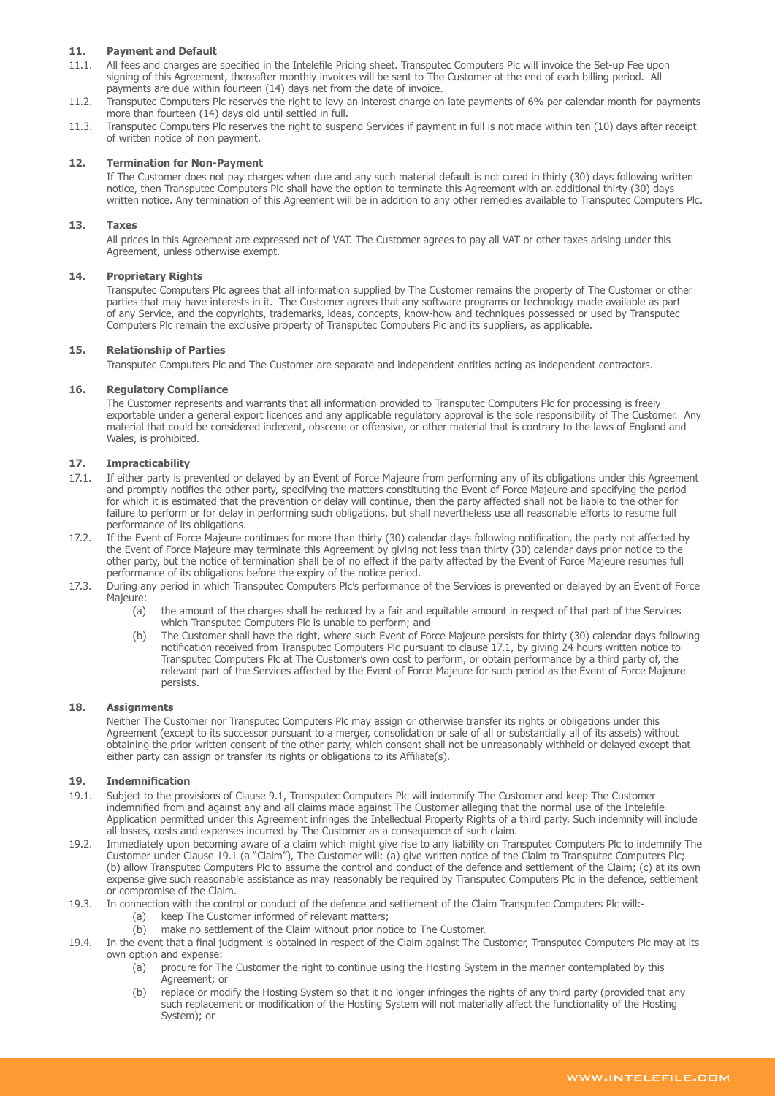# **11. Payment and Default**

- 11.1. All fees and charges are specified in the Intelefile Pricing sheet. Transputec Computers Plc will invoice the Set-up Fee upon signing of this Agreement, thereafter monthly invoices will be sent to The Customer at the end of each billing period. All payments are due within fourteen (14) days net from the date of invoice.
- 11.2. Transputec Computers Plc reserves the right to levy an interest charge on late payments of 6% per calendar month for payments more than fourteen (14) days old until settled in full.
- 11.3. Transputec Computers Plc reserves the right to suspend Services if payment in full is not made within ten (10) days after receipt of written notice of non payment.

#### **12. Termination for Non-Payment**

If The Customer does not pay charges when due and any such material default is not cured in thirty (30) days following written notice, then Transputec Computers Plc shall have the option to terminate this Agreement with an additional thirty (30) days written notice. Any termination of this Agreement will be in addition to any other remedies available to Transputec Computers Plc.

#### **13. Taxes**

All prices in this Agreement are expressed net of VAT. The Customer agrees to pay all VAT or other taxes arising under this Agreement, unless otherwise exempt.

#### **14. Proprietary Rights**

Transputec Computers Plc agrees that all information supplied by The Customer remains the property of The Customer or other parties that may have interests in it. The Customer agrees that any software programs or technology made available as part of any Service, and the copyrights, trademarks, ideas, concepts, know-how and techniques possessed or used by Transputec Computers Plc remain the exclusive property of Transputec Computers Plc and its suppliers, as applicable.

#### **15. Relationship of Parties**

Transputec Computers Plc and The Customer are separate and independent entities acting as independent contractors.

#### **16. Regulatory Compliance**

The Customer represents and warrants that all information provided to Transputec Computers Plc for processing is freely exportable under a general export licences and any applicable regulatory approval is the sole responsibility of The Customer. Any material that could be considered indecent, obscene or offensive, or other material that is contrary to the laws of England and Wales, is prohibited.

# **17. Impracticability**

- 17.1. If either party is prevented or delayed by an Event of Force Majeure from performing any of its obligations under this Agreement and promptly notifies the other party, specifying the matters constituting the Event of Force Majeure and specifying the period for which it is estimated that the prevention or delay will continue, then the party affected shall not be liable to the other for failure to perform or for delay in performing such obligations, but shall nevertheless use all reasonable efforts to resume full performance of its obligations.
- 17.2. If the Event of Force Majeure continues for more than thirty (30) calendar days following notification, the party not affected by the Event of Force Majeure may terminate this Agreement by giving not less than thirty (30) calendar days prior notice to the other party, but the notice of termination shall be of no effect if the party affected by the Event of Force Majeure resumes full performance of its obligations before the expiry of the notice period.
- 17.3. During any period in which Transputec Computers Plc's performance of the Services is prevented or delayed by an Event of Force Majeure:
	- (a) the amount of the charges shall be reduced by a fair and equitable amount in respect of that part of the Services which Transputec Computers Plc is unable to perform; and
	- (b) The Customer shall have the right, where such Event of Force Majeure persists for thirty (30) calendar days following notification received from Transputec Computers Plc pursuant to clause 17.1, by giving 24 hours written notice to Transputec Computers Plc at The Customer's own cost to perform, or obtain performance by a third party of, the relevant part of the Services affected by the Event of Force Majeure for such period as the Event of Force Majeure persists.

#### **18. Assignments**

Neither The Customer nor Transputec Computers Plc may assign or otherwise transfer its rights or obligations under this Agreement (except to its successor pursuant to a merger, consolidation or sale of all or substantially all of its assets) without obtaining the prior written consent of the other party, which consent shall not be unreasonably withheld or delayed except that either party can assign or transfer its rights or obligations to its Affiliate(s).

#### **19. Indemnification**

- 19.1. Subject to the provisions of Clause 9.1, Transputec Computers Plc will indemnify The Customer and keep The Customer indemnified from and against any and all claims made against The Customer alleging that the normal use of the Intelefile Application permitted under this Agreement infringes the Intellectual Property Rights of a third party. Such indemnity will include all losses, costs and expenses incurred by The Customer as a consequence of such claim.
- 19.2. Immediately upon becoming aware of a claim which might give rise to any liability on Transputec Computers Plc to indemnify The Customer under Clause 19.1 (a "Claim"), The Customer will: (a) give written notice of the Claim to Transputec Computers Plc; (b) allow Transputec Computers Plc to assume the control and conduct of the defence and settlement of the Claim; (c) at its own expense give such reasonable assistance as may reasonably be required by Transputec Computers Plc in the defence, settlement or compromise of the Claim.
- 19.3. In connection with the control or conduct of the defence and settlement of the Claim Transputec Computers Plc will:-
	- (a) keep The Customer informed of relevant matters;
	- (b) make no settlement of the Claim without prior notice to The Customer.
- 19.4. In the event that a final judgment is obtained in respect of the Claim against The Customer, Transputec Computers Plc may at its own option and expense:
	- (a) procure for The Customer the right to continue using the Hosting System in the manner contemplated by this Agreement; or
	- (b) replace or modify the Hosting System so that it no longer infringes the rights of any third party (provided that any such replacement or modification of the Hosting System will not materially affect the functionality of the Hosting System); or